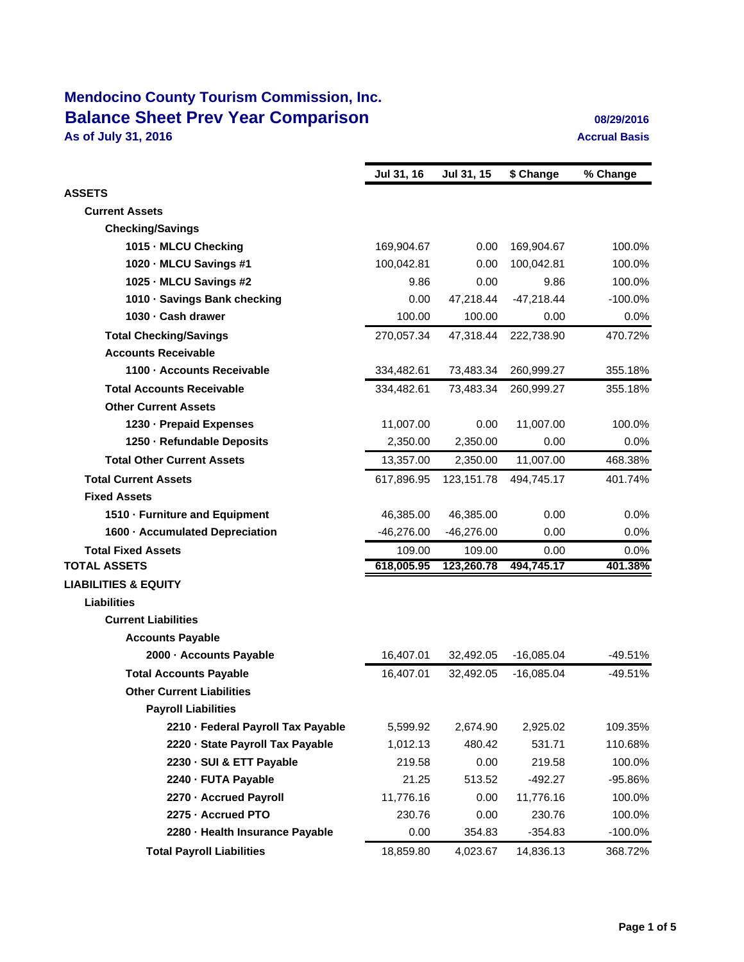## **Mendocino County Tourism Commission, Inc. Balance Sheet Prev Year Comparison 1989 12016** 08/29/2016 **As of July 31, 2016 Accrual Basis Accrual Basis**

|                                    | Jul 31, 16   | Jul 31, 15   | \$ Change    | % Change   |
|------------------------------------|--------------|--------------|--------------|------------|
| <b>ASSETS</b>                      |              |              |              |            |
| <b>Current Assets</b>              |              |              |              |            |
| <b>Checking/Savings</b>            |              |              |              |            |
| 1015 MLCU Checking                 | 169,904.67   | 0.00         | 169,904.67   | 100.0%     |
| 1020 MLCU Savings #1               | 100,042.81   | 0.00         | 100,042.81   | 100.0%     |
| 1025 MLCU Savings #2               | 9.86         | 0.00         | 9.86         | 100.0%     |
| 1010 Savings Bank checking         | 0.00         | 47,218.44    | $-47,218.44$ | $-100.0%$  |
| 1030 - Cash drawer                 | 100.00       | 100.00       | 0.00         | 0.0%       |
| <b>Total Checking/Savings</b>      | 270,057.34   | 47,318.44    | 222,738.90   | 470.72%    |
| <b>Accounts Receivable</b>         |              |              |              |            |
| 1100 - Accounts Receivable         | 334,482.61   | 73,483.34    | 260,999.27   | 355.18%    |
| <b>Total Accounts Receivable</b>   | 334,482.61   | 73,483.34    | 260,999.27   | 355.18%    |
| <b>Other Current Assets</b>        |              |              |              |            |
| 1230 - Prepaid Expenses            | 11,007.00    | 0.00         | 11,007.00    | 100.0%     |
| 1250 - Refundable Deposits         | 2,350.00     | 2,350.00     | 0.00         | 0.0%       |
| <b>Total Other Current Assets</b>  | 13,357.00    | 2,350.00     | 11,007.00    | 468.38%    |
| <b>Total Current Assets</b>        | 617,896.95   | 123,151.78   | 494,745.17   | 401.74%    |
| <b>Fixed Assets</b>                |              |              |              |            |
| 1510 Furniture and Equipment       | 46,385.00    | 46,385.00    | 0.00         | 0.0%       |
| 1600 Accumulated Depreciation      | $-46,276.00$ | $-46,276.00$ | 0.00         | 0.0%       |
| <b>Total Fixed Assets</b>          | 109.00       | 109.00       | 0.00         | 0.0%       |
| <b>TOTAL ASSETS</b>                | 618,005.95   | 123,260.78   | 494,745.17   | 401.38%    |
| <b>LIABILITIES &amp; EQUITY</b>    |              |              |              |            |
| <b>Liabilities</b>                 |              |              |              |            |
| <b>Current Liabilities</b>         |              |              |              |            |
| <b>Accounts Payable</b>            |              |              |              |            |
| 2000 - Accounts Payable            | 16,407.01    | 32,492.05    | $-16,085.04$ | $-49.51%$  |
| <b>Total Accounts Payable</b>      | 16,407.01    | 32,492.05    | $-16,085.04$ | $-49.51%$  |
| <b>Other Current Liabilities</b>   |              |              |              |            |
| <b>Payroll Liabilities</b>         |              |              |              |            |
| 2210 - Federal Payroll Tax Payable | 5,599.92     | 2,674.90     | 2,925.02     | 109.35%    |
| 2220 - State Payroll Tax Payable   | 1,012.13     | 480.42       | 531.71       | 110.68%    |
| 2230 - SUI & ETT Payable           | 219.58       | 0.00         | 219.58       | 100.0%     |
| 2240 - FUTA Payable                | 21.25        | 513.52       | -492.27      | -95.86%    |
| 2270 - Accrued Payroll             | 11,776.16    | 0.00         | 11,776.16    | 100.0%     |
| 2275 - Accrued PTO                 | 230.76       | 0.00         | 230.76       | 100.0%     |
| 2280 - Health Insurance Payable    | 0.00         | 354.83       | $-354.83$    | $-100.0\%$ |
| <b>Total Payroll Liabilities</b>   | 18,859.80    | 4,023.67     | 14,836.13    | 368.72%    |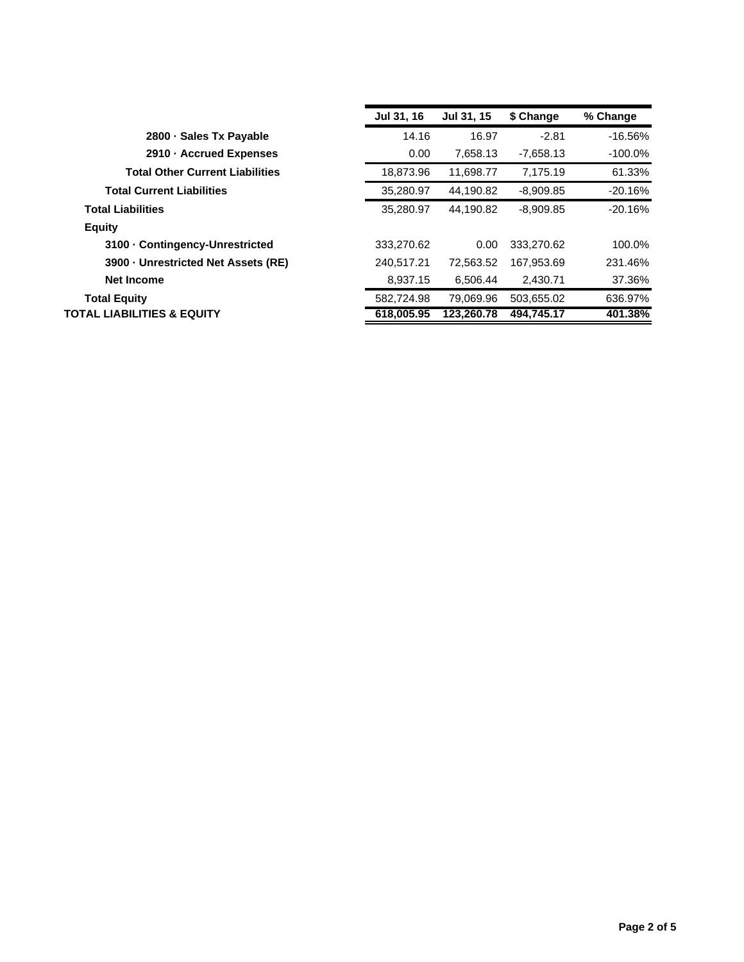|                                        | Jul 31, 16 | Jul 31, 15 | \$ Change   | % Change   |
|----------------------------------------|------------|------------|-------------|------------|
| 2800 Sales Tx Payable                  | 14.16      | 16.97      | $-2.81$     | $-16.56%$  |
| 2910 - Accrued Expenses                | 0.00       | 7,658.13   | $-7,658.13$ | $-100.0\%$ |
| <b>Total Other Current Liabilities</b> | 18,873.96  | 11,698.77  | 7,175.19    | 61.33%     |
| <b>Total Current Liabilities</b>       | 35,280.97  | 44.190.82  | $-8,909.85$ | $-20.16%$  |
| <b>Total Liabilities</b>               | 35.280.97  | 44.190.82  | $-8,909.85$ | $-20.16%$  |
| <b>Equity</b>                          |            |            |             |            |
| 3100 Contingency-Unrestricted          | 333.270.62 | 0.00       | 333.270.62  | 100.0%     |
| 3900 Unrestricted Net Assets (RE)      | 240,517.21 | 72,563.52  | 167,953.69  | 231.46%    |
| <b>Net Income</b>                      | 8,937.15   | 6,506.44   | 2,430.71    | 37.36%     |
| <b>Total Equity</b>                    | 582,724.98 | 79,069.96  | 503,655.02  | 636.97%    |
| TOTAL LIABILITIES & EQUITY             | 618,005.95 | 123,260.78 | 494,745.17  | 401.38%    |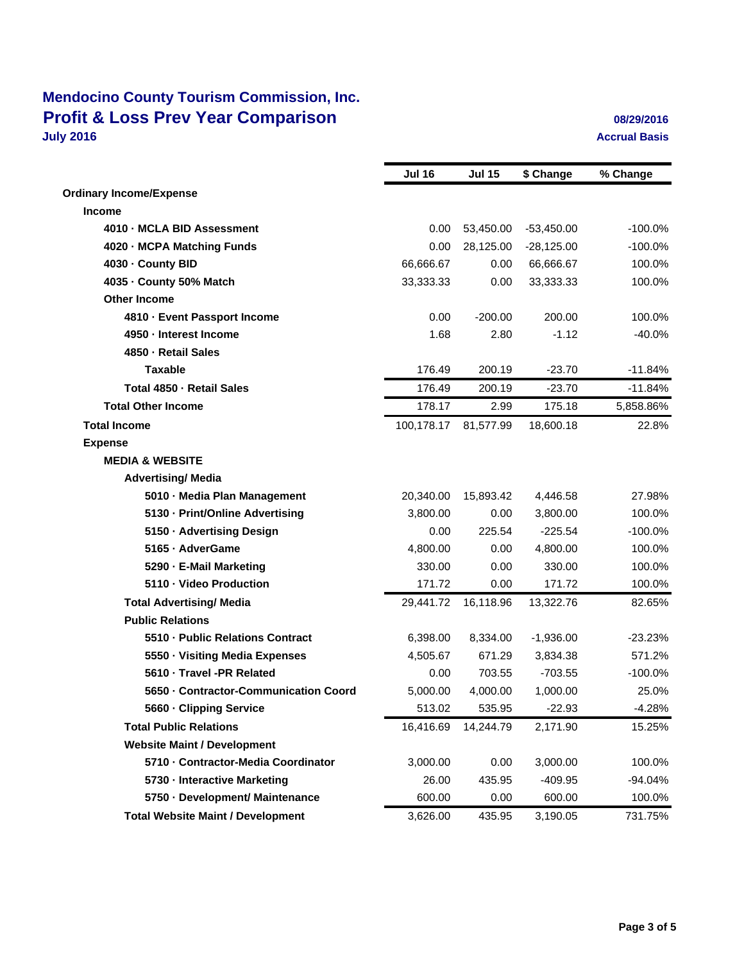## **Mendocino County Tourism Commission, Inc. Profit & Loss Prev Year Comparison 08/29/2016 08/29/2016 10/9/2016 10/9/2016 10/9/2016 10/9/2016 10/9/2016**

## **Accrual Basis**

|                                          | <b>Jul 16</b> | <b>Jul 15</b> | \$ Change    | % Change  |
|------------------------------------------|---------------|---------------|--------------|-----------|
| <b>Ordinary Income/Expense</b>           |               |               |              |           |
| Income                                   |               |               |              |           |
| 4010 MCLA BID Assessment                 | 0.00          | 53,450.00     | $-53,450.00$ | $-100.0%$ |
| 4020 MCPA Matching Funds                 | 0.00          | 28,125.00     | $-28,125.00$ | $-100.0%$ |
| 4030 County BID                          | 66,666.67     | 0.00          | 66,666.67    | 100.0%    |
| 4035 County 50% Match                    | 33,333.33     | 0.00          | 33,333.33    | 100.0%    |
| <b>Other Income</b>                      |               |               |              |           |
| 4810 - Event Passport Income             | 0.00          | $-200.00$     | 200.00       | 100.0%    |
| 4950 - Interest Income                   | 1.68          | 2.80          | $-1.12$      | $-40.0%$  |
| 4850 - Retail Sales                      |               |               |              |           |
| <b>Taxable</b>                           | 176.49        | 200.19        | $-23.70$     | $-11.84%$ |
| Total 4850 - Retail Sales                | 176.49        | 200.19        | $-23.70$     | $-11.84%$ |
| <b>Total Other Income</b>                | 178.17        | 2.99          | 175.18       | 5,858.86% |
| <b>Total Income</b>                      | 100,178.17    | 81,577.99     | 18,600.18    | 22.8%     |
| <b>Expense</b>                           |               |               |              |           |
| <b>MEDIA &amp; WEBSITE</b>               |               |               |              |           |
| <b>Advertising/ Media</b>                |               |               |              |           |
| 5010 - Media Plan Management             | 20,340.00     | 15,893.42     | 4,446.58     | 27.98%    |
| 5130 - Print/Online Advertising          | 3,800.00      | 0.00          | 3,800.00     | 100.0%    |
| 5150 - Advertising Design                | 0.00          | 225.54        | $-225.54$    | $-100.0%$ |
| 5165 - AdverGame                         | 4,800.00      | 0.00          | 4,800.00     | 100.0%    |
| 5290 - E-Mail Marketing                  | 330.00        | 0.00          | 330.00       | 100.0%    |
| 5110 - Video Production                  | 171.72        | 0.00          | 171.72       | 100.0%    |
| <b>Total Advertising/ Media</b>          | 29,441.72     | 16,118.96     | 13,322.76    | 82.65%    |
| <b>Public Relations</b>                  |               |               |              |           |
| 5510 - Public Relations Contract         | 6,398.00      | 8,334.00      | $-1,936.00$  | $-23.23%$ |
| 5550 - Visiting Media Expenses           | 4,505.67      | 671.29        | 3,834.38     | 571.2%    |
| 5610 - Travel -PR Related                | 0.00          | 703.55        | $-703.55$    | $-100.0%$ |
| 5650 - Contractor-Communication Coord    | 5,000.00      | 4,000.00      | 1,000.00     | 25.0%     |
| 5660 - Clipping Service                  | 513.02        | 535.95        | $-22.93$     | $-4.28%$  |
| <b>Total Public Relations</b>            | 16,416.69     | 14,244.79     | 2,171.90     | 15.25%    |
| <b>Website Maint / Development</b>       |               |               |              |           |
| 5710 - Contractor-Media Coordinator      | 3,000.00      | 0.00          | 3,000.00     | 100.0%    |
| 5730 - Interactive Marketing             | 26.00         | 435.95        | $-409.95$    | -94.04%   |
| 5750 - Development/ Maintenance          | 600.00        | 0.00          | 600.00       | 100.0%    |
| <b>Total Website Maint / Development</b> | 3,626.00      | 435.95        | 3,190.05     | 731.75%   |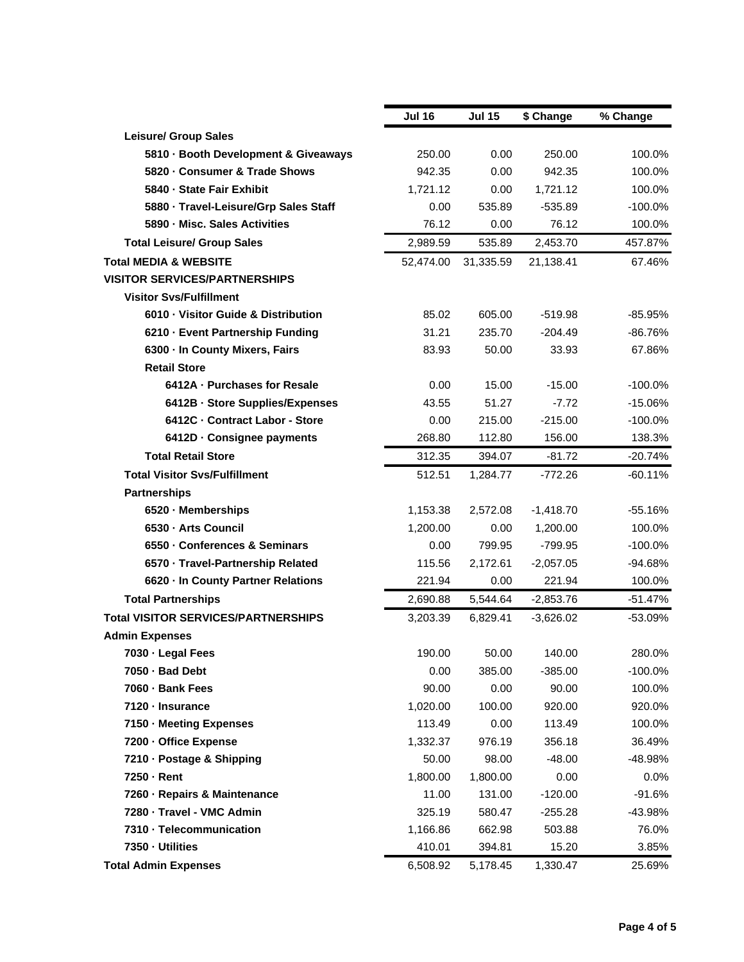|                                            | <b>Jul 16</b> | <b>Jul 15</b> | \$ Change   | % Change   |
|--------------------------------------------|---------------|---------------|-------------|------------|
| <b>Leisure/ Group Sales</b>                |               |               |             |            |
| 5810 - Booth Development & Giveaways       | 250.00        | 0.00          | 250.00      | 100.0%     |
| 5820 - Consumer & Trade Shows              | 942.35        | 0.00          | 942.35      | 100.0%     |
| 5840 - State Fair Exhibit                  | 1,721.12      | 0.00          | 1,721.12    | 100.0%     |
| 5880 - Travel-Leisure/Grp Sales Staff      | 0.00          | 535.89        | $-535.89$   | $-100.0%$  |
| 5890 - Misc. Sales Activities              | 76.12         | 0.00          | 76.12       | 100.0%     |
| <b>Total Leisure/ Group Sales</b>          | 2,989.59      | 535.89        | 2,453.70    | 457.87%    |
| <b>Total MEDIA &amp; WEBSITE</b>           | 52,474.00     | 31,335.59     | 21,138.41   | 67.46%     |
| <b>VISITOR SERVICES/PARTNERSHIPS</b>       |               |               |             |            |
| Visitor Svs/Fulfillment                    |               |               |             |            |
| 6010 - Visitor Guide & Distribution        | 85.02         | 605.00        | $-519.98$   | $-85.95%$  |
| 6210 - Event Partnership Funding           | 31.21         | 235.70        | $-204.49$   | $-86.76%$  |
| 6300 - In County Mixers, Fairs             | 83.93         | 50.00         | 33.93       | 67.86%     |
| <b>Retail Store</b>                        |               |               |             |            |
| 6412A - Purchases for Resale               | 0.00          | 15.00         | $-15.00$    | $-100.0\%$ |
| 6412B - Store Supplies/Expenses            | 43.55         | 51.27         | $-7.72$     | $-15.06%$  |
| 6412C - Contract Labor - Store             | 0.00          | 215.00        | $-215.00$   | $-100.0\%$ |
| 6412D - Consignee payments                 | 268.80        | 112.80        | 156.00      | 138.3%     |
| <b>Total Retail Store</b>                  | 312.35        | 394.07        | $-81.72$    | $-20.74%$  |
| <b>Total Visitor Svs/Fulfillment</b>       | 512.51        | 1,284.77      | $-772.26$   | $-60.11%$  |
| <b>Partnerships</b>                        |               |               |             |            |
| 6520 - Memberships                         | 1,153.38      | 2,572.08      | $-1,418.70$ | $-55.16%$  |
| 6530 - Arts Council                        | 1,200.00      | 0.00          | 1,200.00    | 100.0%     |
| 6550 - Conferences & Seminars              | 0.00          | 799.95        | $-799.95$   | $-100.0\%$ |
| 6570 - Travel-Partnership Related          | 115.56        | 2,172.61      | $-2,057.05$ | -94.68%    |
| 6620 - In County Partner Relations         | 221.94        | 0.00          | 221.94      | 100.0%     |
| <b>Total Partnerships</b>                  | 2,690.88      | 5,544.64      | $-2,853.76$ | $-51.47%$  |
| <b>Total VISITOR SERVICES/PARTNERSHIPS</b> | 3,203.39      | 6,829.41      | $-3,626.02$ | -53.09%    |
| <b>Admin Expenses</b>                      |               |               |             |            |
| 7030 - Legal Fees                          | 190.00        | 50.00         | 140.00      | 280.0%     |
| 7050 - Bad Debt                            | 0.00          | 385.00        | $-385.00$   | $-100.0\%$ |
| 7060 - Bank Fees                           | 90.00         | 0.00          | 90.00       | 100.0%     |
| 7120 - Insurance                           | 1,020.00      | 100.00        | 920.00      | 920.0%     |
| 7150 - Meeting Expenses                    | 113.49        | 0.00          | 113.49      | 100.0%     |
| 7200 - Office Expense                      | 1,332.37      | 976.19        | 356.18      | 36.49%     |
| 7210 - Postage & Shipping                  | 50.00         | 98.00         | $-48.00$    | -48.98%    |
| 7250 - Rent                                | 1,800.00      | 1,800.00      | 0.00        | 0.0%       |
| 7260 - Repairs & Maintenance               | 11.00         | 131.00        | $-120.00$   | $-91.6%$   |
| 7280 - Travel - VMC Admin                  | 325.19        | 580.47        | $-255.28$   | -43.98%    |
| 7310 - Telecommunication                   | 1,166.86      | 662.98        | 503.88      | 76.0%      |
| 7350 - Utilities                           | 410.01        | 394.81        | 15.20       | 3.85%      |
| <b>Total Admin Expenses</b>                | 6,508.92      | 5,178.45      | 1,330.47    | 25.69%     |